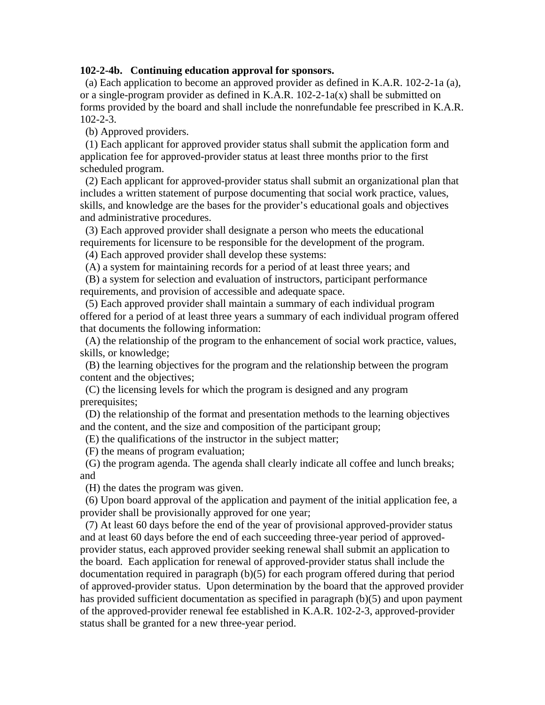## **102-2-4b. Continuing education approval for sponsors.**

 (a) Each application to become an approved provider as defined in K.A.R. 102-2-1a (a), or a single-program provider as defined in K.A.R.  $102-2-1a(x)$  shall be submitted on forms provided by the board and shall include the nonrefundable fee prescribed in K.A.R. 102-2-3.

(b) Approved providers.

 (1) Each applicant for approved provider status shall submit the application form and application fee for approved-provider status at least three months prior to the first scheduled program.

 (2) Each applicant for approved-provider status shall submit an organizational plan that includes a written statement of purpose documenting that social work practice, values, skills, and knowledge are the bases for the provider's educational goals and objectives and administrative procedures.

 (3) Each approved provider shall designate a person who meets the educational requirements for licensure to be responsible for the development of the program.

(4) Each approved provider shall develop these systems:

(A) a system for maintaining records for a period of at least three years; and

 (B) a system for selection and evaluation of instructors, participant performance requirements, and provision of accessible and adequate space.

 (5) Each approved provider shall maintain a summary of each individual program offered for a period of at least three years a summary of each individual program offered that documents the following information:

 (A) the relationship of the program to the enhancement of social work practice, values, skills, or knowledge;

 (B) the learning objectives for the program and the relationship between the program content and the objectives;

 (C) the licensing levels for which the program is designed and any program prerequisites;

 (D) the relationship of the format and presentation methods to the learning objectives and the content, and the size and composition of the participant group;

(E) the qualifications of the instructor in the subject matter;

(F) the means of program evaluation;

 (G) the program agenda. The agenda shall clearly indicate all coffee and lunch breaks; and

(H) the dates the program was given.

 (6) Upon board approval of the application and payment of the initial application fee, a provider shall be provisionally approved for one year;

 (7) At least 60 days before the end of the year of provisional approved-provider status and at least 60 days before the end of each succeeding three-year period of approvedprovider status, each approved provider seeking renewal shall submit an application to the board. Each application for renewal of approved-provider status shall include the documentation required in paragraph (b)(5) for each program offered during that period of approved-provider status. Upon determination by the board that the approved provider has provided sufficient documentation as specified in paragraph (b)(5) and upon payment of the approved-provider renewal fee established in K.A.R. 102-2-3, approved-provider status shall be granted for a new three-year period.